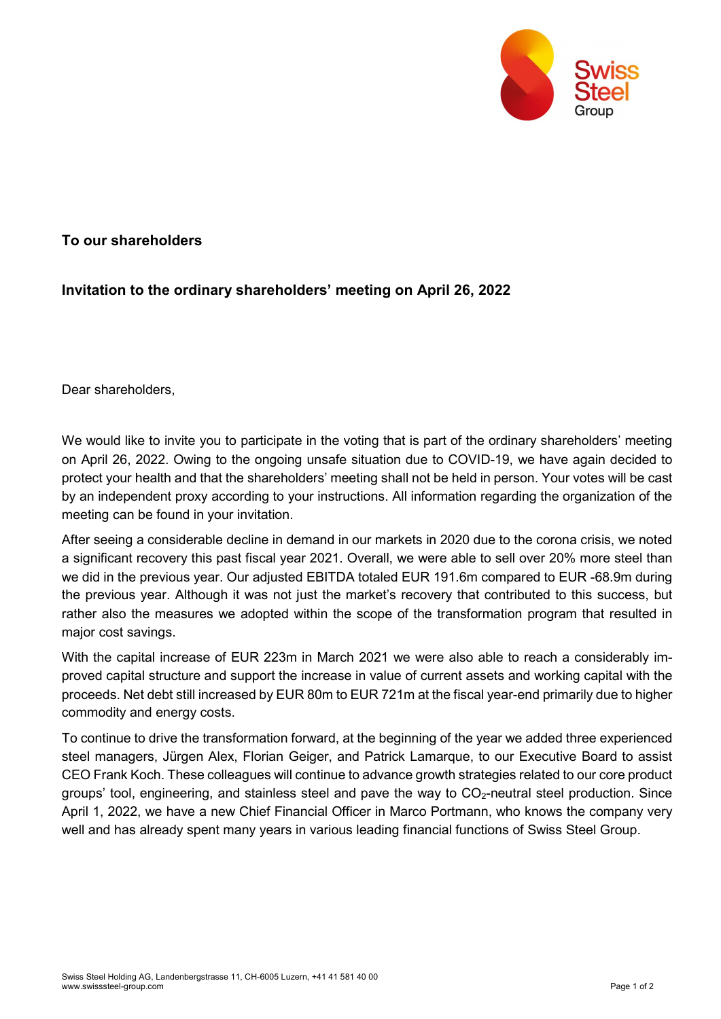

## To our shareholders

## Invitation to the ordinary shareholders' meeting on April 26, 2022

Dear shareholders,

We would like to invite you to participate in the voting that is part of the ordinary shareholders' meeting on April 26, 2022. Owing to the ongoing unsafe situation due to COVID-19, we have again decided to protect your health and that the shareholders' meeting shall not be held in person. Your votes will be cast by an independent proxy according to your instructions. All information regarding the organization of the meeting can be found in your invitation.

After seeing a considerable decline in demand in our markets in 2020 due to the corona crisis, we noted a significant recovery this past fiscal year 2021. Overall, we were able to sell over 20% more steel than we did in the previous year. Our adjusted EBITDA totaled EUR 191.6m compared to EUR -68.9m during the previous year. Although it was not just the market's recovery that contributed to this success, but rather also the measures we adopted within the scope of the transformation program that resulted in major cost savings.

With the capital increase of EUR 223m in March 2021 we were also able to reach a considerably improved capital structure and support the increase in value of current assets and working capital with the proceeds. Net debt still increased by EUR 80m to EUR 721m at the fiscal year-end primarily due to higher commodity and energy costs.

To continue to drive the transformation forward, at the beginning of the year we added three experienced steel managers, Jürgen Alex, Florian Geiger, and Patrick Lamarque, to our Executive Board to assist CEO Frank Koch. These colleagues will continue to advance growth strategies related to our core product groups' tool, engineering, and stainless steel and pave the way to  $CO<sub>2</sub>$ -neutral steel production. Since April 1, 2022, we have a new Chief Financial Officer in Marco Portmann, who knows the company very well and has already spent many years in various leading financial functions of Swiss Steel Group.